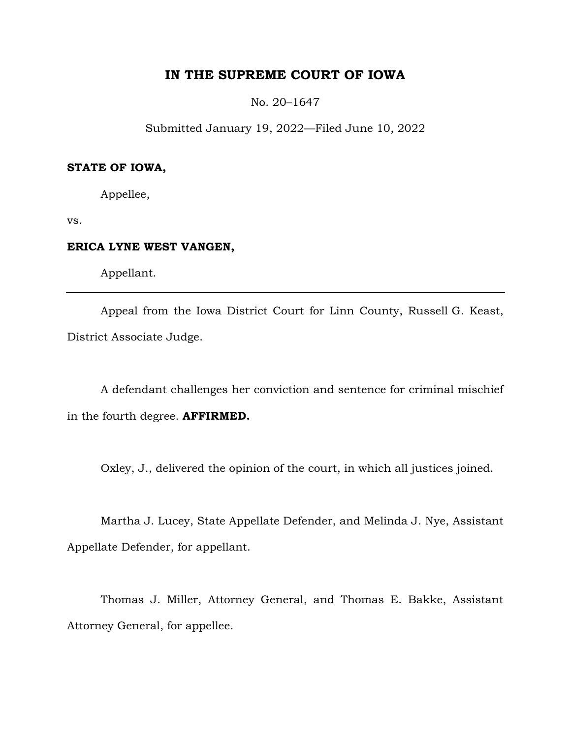# **IN THE SUPREME COURT OF IOWA**

No. 20–1647

Submitted January 19, 2022—Filed June 10, 2022

## **STATE OF IOWA,**

Appellee,

vs.

# **ERICA LYNE WEST VANGEN,**

Appellant.

Appeal from the Iowa District Court for Linn County, Russell G. Keast, District Associate Judge.

A defendant challenges her conviction and sentence for criminal mischief in the fourth degree. **AFFIRMED.**

Oxley, J., delivered the opinion of the court, in which all justices joined.

Martha J. Lucey, State Appellate Defender, and Melinda J. Nye, Assistant Appellate Defender, for appellant.

Thomas J. Miller, Attorney General, and Thomas E. Bakke, Assistant Attorney General, for appellee.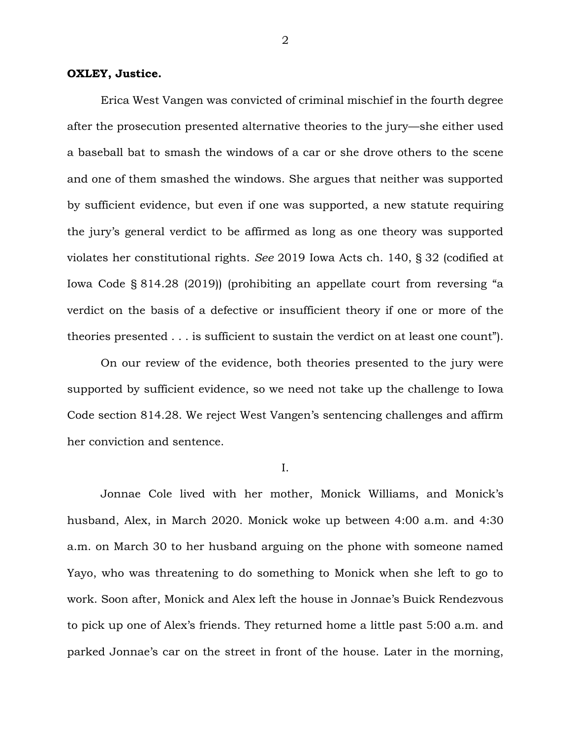### **OXLEY, Justice.**

Erica West Vangen was convicted of criminal mischief in the fourth degree after the prosecution presented alternative theories to the jury—she either used a baseball bat to smash the windows of a car or she drove others to the scene and one of them smashed the windows. She argues that neither was supported by sufficient evidence, but even if one was supported, a new statute requiring the jury's general verdict to be affirmed as long as one theory was supported violates her constitutional rights. *See* 2019 Iowa Acts ch. 140, § 32 (codified at Iowa Code § 814.28 (2019)) (prohibiting an appellate court from reversing "a verdict on the basis of a defective or insufficient theory if one or more of the theories presented . . . is sufficient to sustain the verdict on at least one count").

On our review of the evidence, both theories presented to the jury were supported by sufficient evidence, so we need not take up the challenge to Iowa Code section 814.28. We reject West Vangen's sentencing challenges and affirm her conviction and sentence.

I.

Jonnae Cole lived with her mother, Monick Williams, and Monick's husband, Alex, in March 2020. Monick woke up between 4:00 a.m. and 4:30 a.m. on March 30 to her husband arguing on the phone with someone named Yayo, who was threatening to do something to Monick when she left to go to work. Soon after, Monick and Alex left the house in Jonnae's Buick Rendezvous to pick up one of Alex's friends. They returned home a little past 5:00 a.m. and parked Jonnae's car on the street in front of the house. Later in the morning,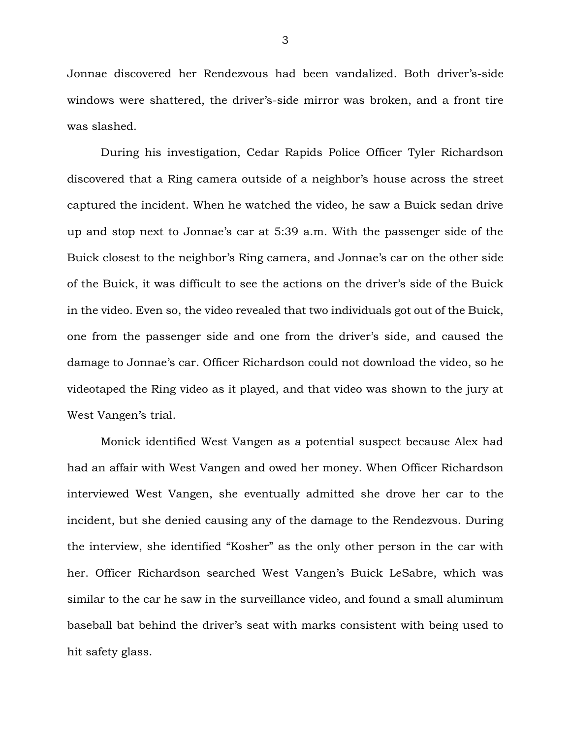Jonnae discovered her Rendezvous had been vandalized. Both driver's-side windows were shattered, the driver's-side mirror was broken, and a front tire was slashed.

During his investigation, Cedar Rapids Police Officer Tyler Richardson discovered that a Ring camera outside of a neighbor's house across the street captured the incident. When he watched the video, he saw a Buick sedan drive up and stop next to Jonnae's car at 5:39 a.m. With the passenger side of the Buick closest to the neighbor's Ring camera, and Jonnae's car on the other side of the Buick, it was difficult to see the actions on the driver's side of the Buick in the video. Even so, the video revealed that two individuals got out of the Buick, one from the passenger side and one from the driver's side, and caused the damage to Jonnae's car. Officer Richardson could not download the video, so he videotaped the Ring video as it played, and that video was shown to the jury at West Vangen's trial.

Monick identified West Vangen as a potential suspect because Alex had had an affair with West Vangen and owed her money. When Officer Richardson interviewed West Vangen, she eventually admitted she drove her car to the incident, but she denied causing any of the damage to the Rendezvous. During the interview, she identified "Kosher" as the only other person in the car with her. Officer Richardson searched West Vangen's Buick LeSabre, which was similar to the car he saw in the surveillance video, and found a small aluminum baseball bat behind the driver's seat with marks consistent with being used to hit safety glass.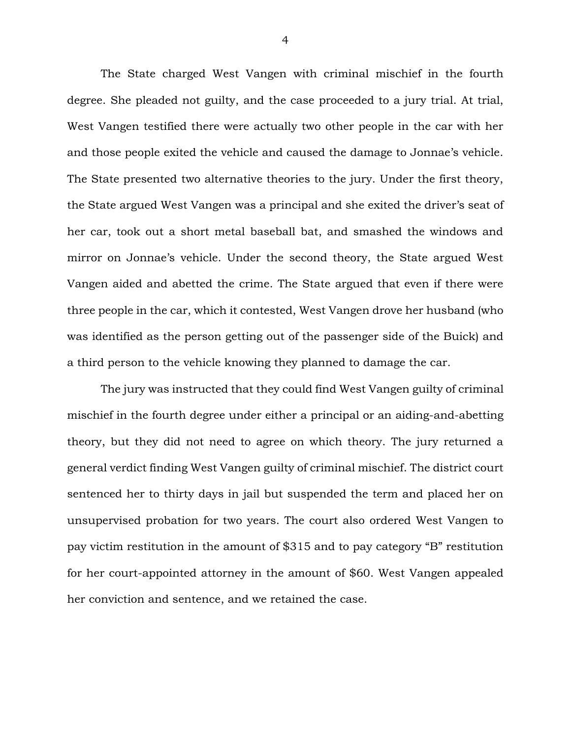The State charged West Vangen with criminal mischief in the fourth degree. She pleaded not guilty, and the case proceeded to a jury trial. At trial, West Vangen testified there were actually two other people in the car with her and those people exited the vehicle and caused the damage to Jonnae's vehicle. The State presented two alternative theories to the jury. Under the first theory, the State argued West Vangen was a principal and she exited the driver's seat of her car, took out a short metal baseball bat, and smashed the windows and mirror on Jonnae's vehicle. Under the second theory, the State argued West Vangen aided and abetted the crime. The State argued that even if there were three people in the car, which it contested, West Vangen drove her husband (who was identified as the person getting out of the passenger side of the Buick) and a third person to the vehicle knowing they planned to damage the car.

The jury was instructed that they could find West Vangen guilty of criminal mischief in the fourth degree under either a principal or an aiding-and-abetting theory, but they did not need to agree on which theory. The jury returned a general verdict finding West Vangen guilty of criminal mischief. The district court sentenced her to thirty days in jail but suspended the term and placed her on unsupervised probation for two years. The court also ordered West Vangen to pay victim restitution in the amount of \$315 and to pay category "B" restitution for her court-appointed attorney in the amount of \$60. West Vangen appealed her conviction and sentence, and we retained the case.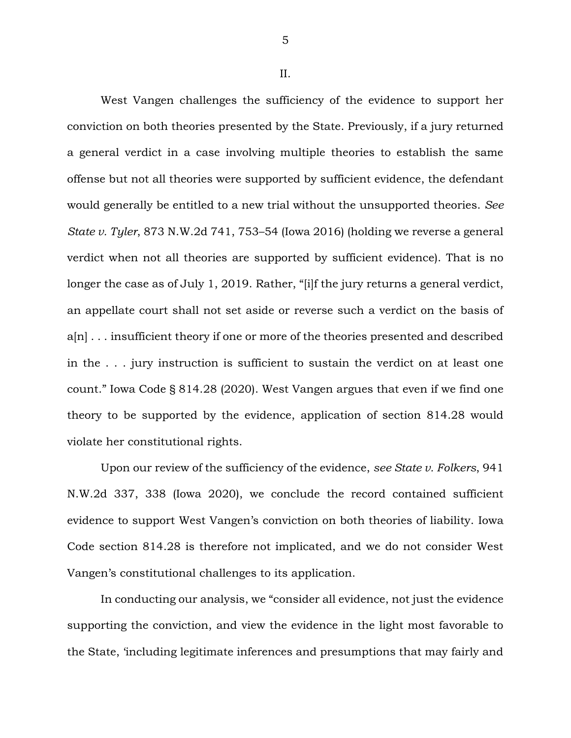5

II.

West Vangen challenges the sufficiency of the evidence to support her conviction on both theories presented by the State. Previously, if a jury returned a general verdict in a case involving multiple theories to establish the same offense but not all theories were supported by sufficient evidence, the defendant would generally be entitled to a new trial without the unsupported theories. *See State v. Tyler*, 873 N.W.2d 741, 753–54 (Iowa 2016) (holding we reverse a general verdict when not all theories are supported by sufficient evidence). That is no longer the case as of July 1, 2019. Rather, "[i]f the jury returns a general verdict, an appellate court shall not set aside or reverse such a verdict on the basis of a[n] . . . insufficient theory if one or more of the theories presented and described in the . . . jury instruction is sufficient to sustain the verdict on at least one count." Iowa Code § 814.28 (2020). West Vangen argues that even if we find one theory to be supported by the evidence, application of section 814.28 would violate her constitutional rights.

Upon our review of the sufficiency of the evidence, *see State v. Folkers*, 941 N.W.2d 337, 338 (Iowa 2020), we conclude the record contained sufficient evidence to support West Vangen's conviction on both theories of liability. Iowa Code section 814.28 is therefore not implicated, and we do not consider West Vangen's constitutional challenges to its application.

In conducting our analysis, we "consider all evidence, not just the evidence supporting the conviction, and view the evidence in the light most favorable to the State, 'including legitimate inferences and presumptions that may fairly and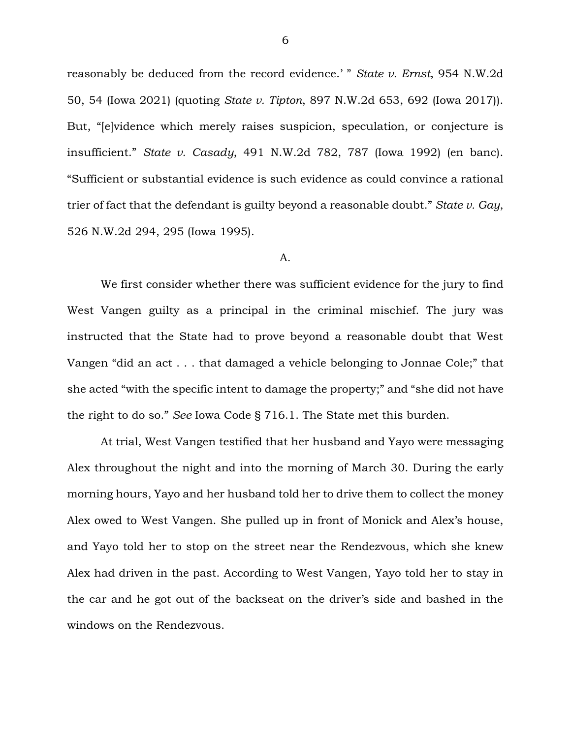reasonably be deduced from the record evidence.' " *State v. Ernst*, 954 N.W.2d 50, 54 (Iowa 2021) (quoting *State v. Tipton*, 897 N.W.2d 653, 692 (Iowa 2017)). But, "[e]vidence which merely raises suspicion, speculation, or conjecture is insufficient." *State v. Casady*, 491 N.W.2d 782, 787 (Iowa 1992) (en banc). "Sufficient or substantial evidence is such evidence as could convince a rational trier of fact that the defendant is guilty beyond a reasonable doubt." *State v. Gay*, 526 N.W.2d 294, 295 (Iowa 1995).

#### A.

We first consider whether there was sufficient evidence for the jury to find West Vangen guilty as a principal in the criminal mischief. The jury was instructed that the State had to prove beyond a reasonable doubt that West Vangen "did an act . . . that damaged a vehicle belonging to Jonnae Cole;" that she acted "with the specific intent to damage the property;" and "she did not have the right to do so." *See* Iowa Code § 716.1. The State met this burden.

At trial, West Vangen testified that her husband and Yayo were messaging Alex throughout the night and into the morning of March 30. During the early morning hours, Yayo and her husband told her to drive them to collect the money Alex owed to West Vangen. She pulled up in front of Monick and Alex's house, and Yayo told her to stop on the street near the Rendezvous, which she knew Alex had driven in the past. According to West Vangen, Yayo told her to stay in the car and he got out of the backseat on the driver's side and bashed in the windows on the Rendezvous.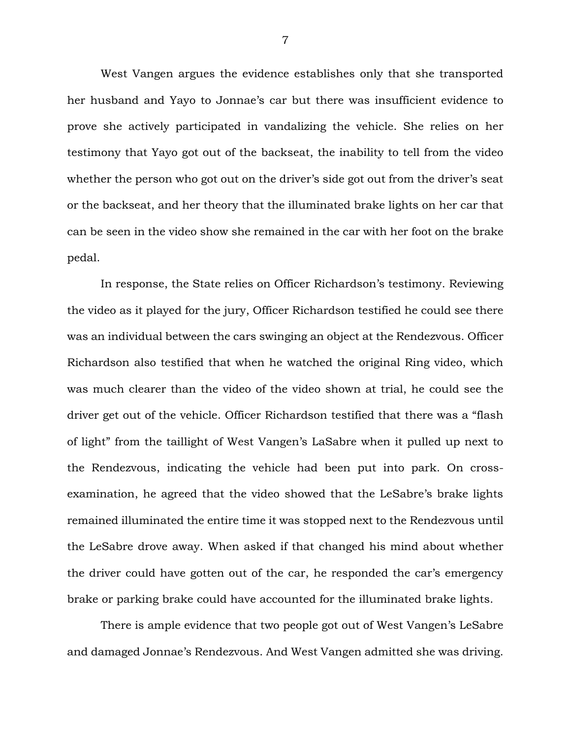West Vangen argues the evidence establishes only that she transported her husband and Yayo to Jonnae's car but there was insufficient evidence to prove she actively participated in vandalizing the vehicle. She relies on her testimony that Yayo got out of the backseat, the inability to tell from the video whether the person who got out on the driver's side got out from the driver's seat or the backseat, and her theory that the illuminated brake lights on her car that can be seen in the video show she remained in the car with her foot on the brake pedal.

In response, the State relies on Officer Richardson's testimony. Reviewing the video as it played for the jury, Officer Richardson testified he could see there was an individual between the cars swinging an object at the Rendezvous. Officer Richardson also testified that when he watched the original Ring video, which was much clearer than the video of the video shown at trial, he could see the driver get out of the vehicle. Officer Richardson testified that there was a "flash of light" from the taillight of West Vangen's LaSabre when it pulled up next to the Rendezvous, indicating the vehicle had been put into park. On crossexamination, he agreed that the video showed that the LeSabre's brake lights remained illuminated the entire time it was stopped next to the Rendezvous until the LeSabre drove away. When asked if that changed his mind about whether the driver could have gotten out of the car, he responded the car's emergency brake or parking brake could have accounted for the illuminated brake lights.

There is ample evidence that two people got out of West Vangen's LeSabre and damaged Jonnae's Rendezvous. And West Vangen admitted she was driving.

7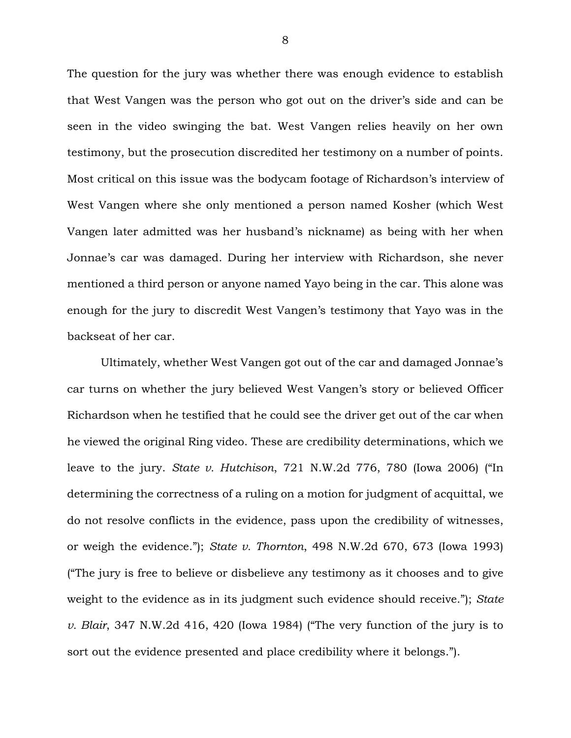The question for the jury was whether there was enough evidence to establish that West Vangen was the person who got out on the driver's side and can be seen in the video swinging the bat. West Vangen relies heavily on her own testimony, but the prosecution discredited her testimony on a number of points. Most critical on this issue was the bodycam footage of Richardson's interview of West Vangen where she only mentioned a person named Kosher (which West Vangen later admitted was her husband's nickname) as being with her when Jonnae's car was damaged. During her interview with Richardson, she never mentioned a third person or anyone named Yayo being in the car. This alone was enough for the jury to discredit West Vangen's testimony that Yayo was in the backseat of her car.

Ultimately, whether West Vangen got out of the car and damaged Jonnae's car turns on whether the jury believed West Vangen's story or believed Officer Richardson when he testified that he could see the driver get out of the car when he viewed the original Ring video. These are credibility determinations, which we leave to the jury. *State v. Hutchison*, 721 N.W.2d 776, 780 (Iowa 2006) ("In determining the correctness of a ruling on a motion for judgment of acquittal, we do not resolve conflicts in the evidence, pass upon the credibility of witnesses, or weigh the evidence."); *State v. Thornton*, 498 N.W.2d 670, 673 (Iowa 1993) ("The jury is free to believe or disbelieve any testimony as it chooses and to give weight to the evidence as in its judgment such evidence should receive."); *State v. Blair*, 347 N.W.2d 416, 420 (Iowa 1984) ("The very function of the jury is to sort out the evidence presented and place credibility where it belongs.").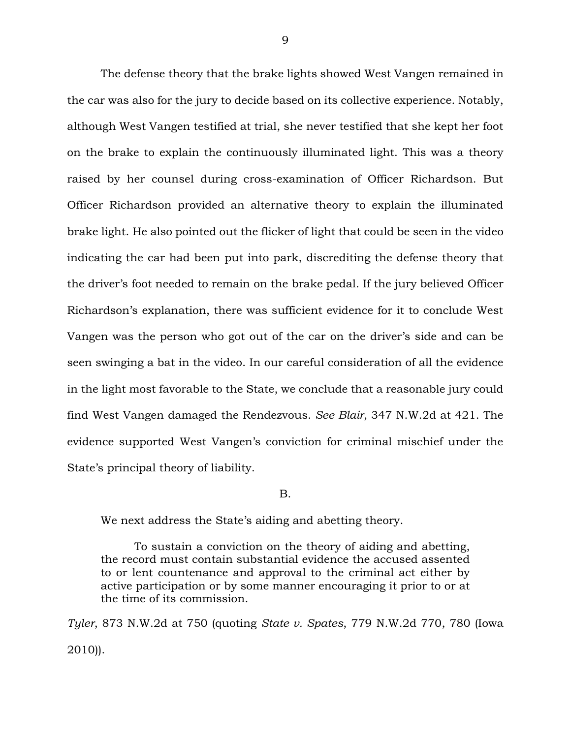The defense theory that the brake lights showed West Vangen remained in the car was also for the jury to decide based on its collective experience. Notably, although West Vangen testified at trial, she never testified that she kept her foot on the brake to explain the continuously illuminated light. This was a theory raised by her counsel during cross-examination of Officer Richardson. But Officer Richardson provided an alternative theory to explain the illuminated brake light. He also pointed out the flicker of light that could be seen in the video indicating the car had been put into park, discrediting the defense theory that the driver's foot needed to remain on the brake pedal. If the jury believed Officer Richardson's explanation, there was sufficient evidence for it to conclude West Vangen was the person who got out of the car on the driver's side and can be seen swinging a bat in the video. In our careful consideration of all the evidence in the light most favorable to the State, we conclude that a reasonable jury could find West Vangen damaged the Rendezvous. *See Blair*, 347 N.W.2d at 421. The evidence supported West Vangen's conviction for criminal mischief under the State's principal theory of liability.

B.

We next address the State's aiding and abetting theory.

To sustain a conviction on the theory of aiding and abetting, the record must contain substantial evidence the accused assented to or lent countenance and approval to the criminal act either by active participation or by some manner encouraging it prior to or at the time of its commission.

*Tyler*, 873 N.W.2d at 750 (quoting *State v. Spates*, 779 N.W.2d 770, 780 (Iowa 2010)).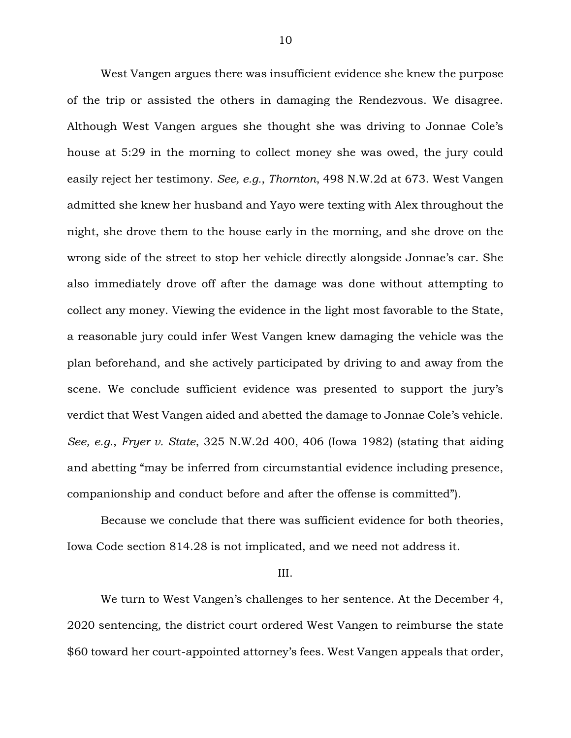West Vangen argues there was insufficient evidence she knew the purpose of the trip or assisted the others in damaging the Rendezvous. We disagree. Although West Vangen argues she thought she was driving to Jonnae Cole's house at 5:29 in the morning to collect money she was owed, the jury could easily reject her testimony. *See, e.g.*, *Thornton*, 498 N.W.2d at 673. West Vangen admitted she knew her husband and Yayo were texting with Alex throughout the night, she drove them to the house early in the morning, and she drove on the wrong side of the street to stop her vehicle directly alongside Jonnae's car. She also immediately drove off after the damage was done without attempting to collect any money. Viewing the evidence in the light most favorable to the State, a reasonable jury could infer West Vangen knew damaging the vehicle was the plan beforehand, and she actively participated by driving to and away from the scene. We conclude sufficient evidence was presented to support the jury's verdict that West Vangen aided and abetted the damage to Jonnae Cole's vehicle. *See, e.g.*, *Fryer v. State*, 325 N.W.2d 400, 406 (Iowa 1982) (stating that aiding and abetting "may be inferred from circumstantial evidence including presence, companionship and conduct before and after the offense is committed").

Because we conclude that there was sufficient evidence for both theories, Iowa Code section 814.28 is not implicated, and we need not address it.

#### III.

We turn to West Vangen's challenges to her sentence. At the December 4, 2020 sentencing, the district court ordered West Vangen to reimburse the state \$60 toward her court-appointed attorney's fees. West Vangen appeals that order,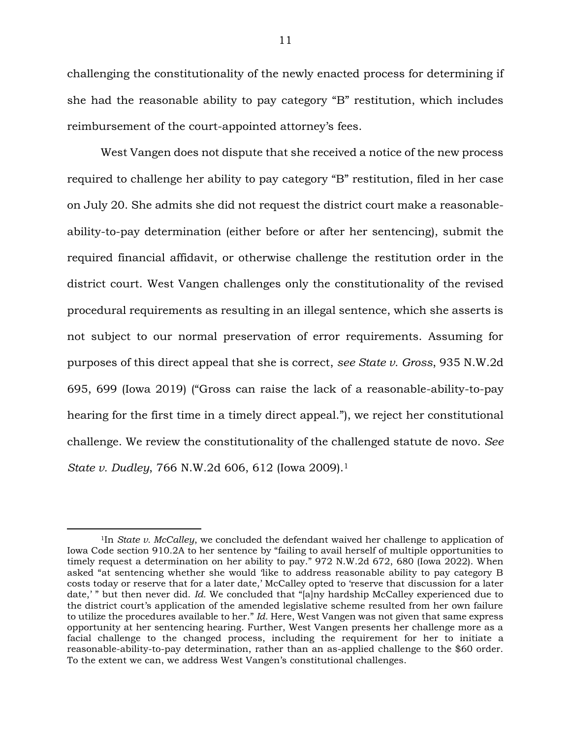challenging the constitutionality of the newly enacted process for determining if she had the reasonable ability to pay category "B" restitution, which includes reimbursement of the court-appointed attorney's fees.

West Vangen does not dispute that she received a notice of the new process required to challenge her ability to pay category "B" restitution, filed in her case on July 20. She admits she did not request the district court make a reasonableability-to-pay determination (either before or after her sentencing), submit the required financial affidavit, or otherwise challenge the restitution order in the district court. West Vangen challenges only the constitutionality of the revised procedural requirements as resulting in an illegal sentence, which she asserts is not subject to our normal preservation of error requirements. Assuming for purposes of this direct appeal that she is correct, *see State v. Gross*, 935 N.W.2d 695, 699 (Iowa 2019) ("Gross can raise the lack of a reasonable-ability-to-pay hearing for the first time in a timely direct appeal."), we reject her constitutional challenge. We review the constitutionality of the challenged statute de novo. *See State v. Dudley*, 766 N.W.2d 606, 612 (Iowa 2009).<sup>1</sup>

 $\overline{a}$ 

<sup>1</sup>In *State v. McCalley*, we concluded the defendant waived her challenge to application of Iowa Code section 910.2A to her sentence by "failing to avail herself of multiple opportunities to timely request a determination on her ability to pay." 972 N.W.2d 672, 680 (Iowa 2022). When asked "at sentencing whether she would 'like to address reasonable ability to pay category B costs today or reserve that for a later date,' McCalley opted to 'reserve that discussion for a later date,' " but then never did. *Id.* We concluded that "[a]ny hardship McCalley experienced due to the district court's application of the amended legislative scheme resulted from her own failure to utilize the procedures available to her." *Id.* Here, West Vangen was not given that same express opportunity at her sentencing hearing. Further, West Vangen presents her challenge more as a facial challenge to the changed process, including the requirement for her to initiate a reasonable-ability-to-pay determination, rather than an as-applied challenge to the \$60 order. To the extent we can, we address West Vangen's constitutional challenges.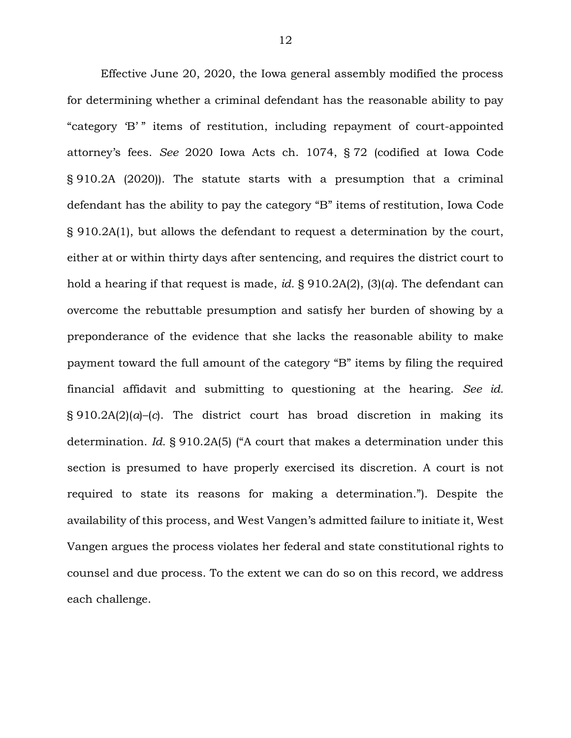Effective June 20, 2020, the Iowa general assembly modified the process for determining whether a criminal defendant has the reasonable ability to pay "category 'B'" items of restitution, including repayment of court-appointed attorney's fees. *See* 2020 Iowa Acts ch. 1074, § 72 (codified at Iowa Code § 910.2A (2020)). The statute starts with a presumption that a criminal defendant has the ability to pay the category "B" items of restitution, Iowa Code § 910.2A(1), but allows the defendant to request a determination by the court, either at or within thirty days after sentencing, and requires the district court to hold a hearing if that request is made, *id.* § 910.2A(2), (3)(*a*). The defendant can overcome the rebuttable presumption and satisfy her burden of showing by a preponderance of the evidence that she lacks the reasonable ability to make payment toward the full amount of the category "B" items by filing the required financial affidavit and submitting to questioning at the hearing. *See id.* § 910.2A(2)(*a*)–(*c*). The district court has broad discretion in making its determination. *Id.* § 910.2A(5) ("A court that makes a determination under this section is presumed to have properly exercised its discretion. A court is not required to state its reasons for making a determination."). Despite the availability of this process, and West Vangen's admitted failure to initiate it, West Vangen argues the process violates her federal and state constitutional rights to counsel and due process. To the extent we can do so on this record, we address each challenge.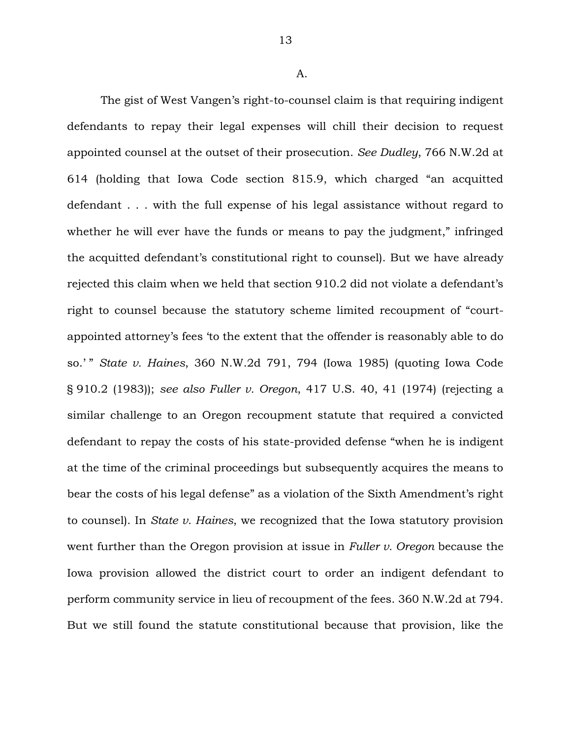A.

The gist of West Vangen's right-to-counsel claim is that requiring indigent defendants to repay their legal expenses will chill their decision to request appointed counsel at the outset of their prosecution. *See Dudley*, 766 N.W.2d at 614 (holding that Iowa Code section 815.9, which charged "an acquitted defendant . . . with the full expense of his legal assistance without regard to whether he will ever have the funds or means to pay the judgment," infringed the acquitted defendant's constitutional right to counsel). But we have already rejected this claim when we held that section 910.2 did not violate a defendant's right to counsel because the statutory scheme limited recoupment of "courtappointed attorney's fees 'to the extent that the offender is reasonably able to do so.' " *State v. Haines*, 360 N.W.2d 791, 794 (Iowa 1985) (quoting Iowa Code § 910.2 (1983)); *see also Fuller v. Oregon*, 417 U.S. 40, 41 (1974) (rejecting a similar challenge to an Oregon recoupment statute that required a convicted defendant to repay the costs of his state-provided defense "when he is indigent at the time of the criminal proceedings but subsequently acquires the means to bear the costs of his legal defense" as a violation of the Sixth Amendment's right to counsel). In *State v. Haines*, we recognized that the Iowa statutory provision went further than the Oregon provision at issue in *Fuller v. Oregon* because the Iowa provision allowed the district court to order an indigent defendant to perform community service in lieu of recoupment of the fees. 360 N.W.2d at 794. But we still found the statute constitutional because that provision, like the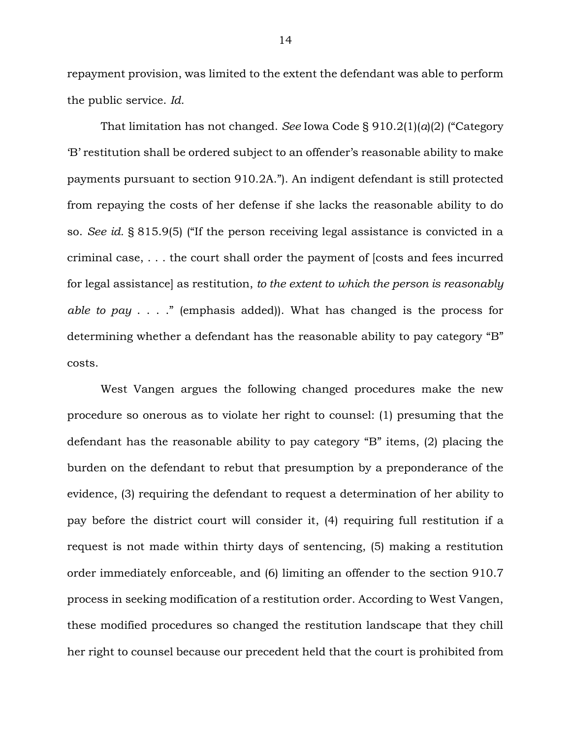repayment provision, was limited to the extent the defendant was able to perform the public service. *Id.*

That limitation has not changed. *See* Iowa Code § 910.2(1)(*a*)(2) ("Category 'B' restitution shall be ordered subject to an offender's reasonable ability to make payments pursuant to section 910.2A."). An indigent defendant is still protected from repaying the costs of her defense if she lacks the reasonable ability to do so. *See id.* § 815.9(5) ("If the person receiving legal assistance is convicted in a criminal case, . . . the court shall order the payment of [costs and fees incurred for legal assistance] as restitution, *to the extent to which the person is reasonably able to pay* . . . ." (emphasis added)). What has changed is the process for determining whether a defendant has the reasonable ability to pay category "B" costs.

West Vangen argues the following changed procedures make the new procedure so onerous as to violate her right to counsel: (1) presuming that the defendant has the reasonable ability to pay category "B" items, (2) placing the burden on the defendant to rebut that presumption by a preponderance of the evidence, (3) requiring the defendant to request a determination of her ability to pay before the district court will consider it, (4) requiring full restitution if a request is not made within thirty days of sentencing, (5) making a restitution order immediately enforceable, and (6) limiting an offender to the section 910.7 process in seeking modification of a restitution order. According to West Vangen, these modified procedures so changed the restitution landscape that they chill her right to counsel because our precedent held that the court is prohibited from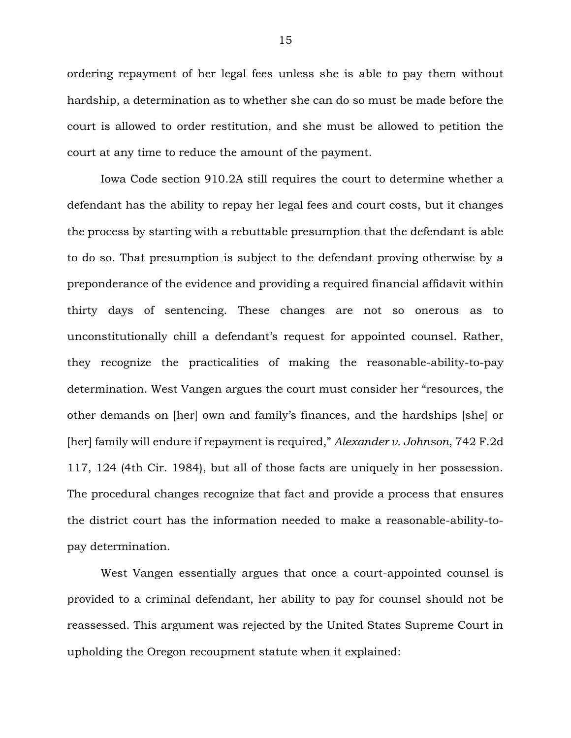ordering repayment of her legal fees unless she is able to pay them without hardship, a determination as to whether she can do so must be made before the court is allowed to order restitution, and she must be allowed to petition the court at any time to reduce the amount of the payment.

Iowa Code section 910.2A still requires the court to determine whether a defendant has the ability to repay her legal fees and court costs, but it changes the process by starting with a rebuttable presumption that the defendant is able to do so. That presumption is subject to the defendant proving otherwise by a preponderance of the evidence and providing a required financial affidavit within thirty days of sentencing. These changes are not so onerous as to unconstitutionally chill a defendant's request for appointed counsel. Rather, they recognize the practicalities of making the reasonable-ability-to-pay determination. West Vangen argues the court must consider her "resources, the other demands on [her] own and family's finances, and the hardships [she] or [her] family will endure if repayment is required," *Alexander v. Johnson*, 742 F.2d 117, 124 (4th Cir. 1984), but all of those facts are uniquely in her possession. The procedural changes recognize that fact and provide a process that ensures the district court has the information needed to make a reasonable-ability-topay determination.

West Vangen essentially argues that once a court-appointed counsel is provided to a criminal defendant, her ability to pay for counsel should not be reassessed. This argument was rejected by the United States Supreme Court in upholding the Oregon recoupment statute when it explained: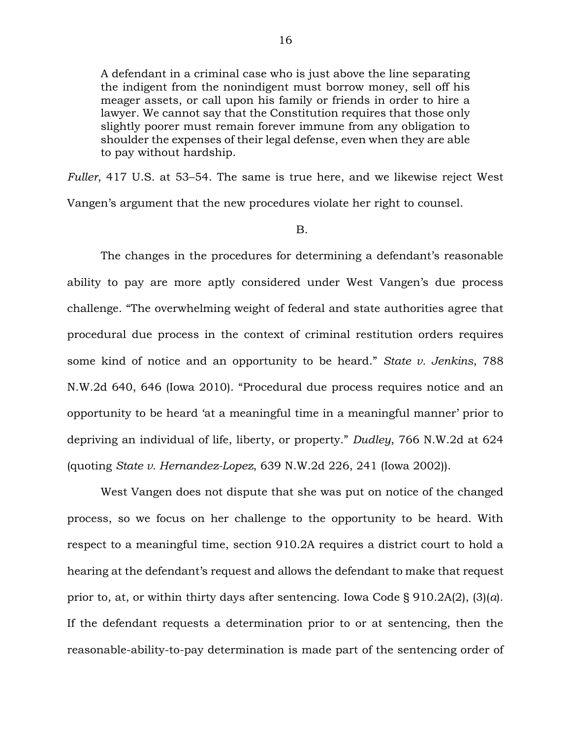A defendant in a criminal case who is just above the line separating the indigent from the nonindigent must borrow money, sell off his meager assets, or call upon his family or friends in order to hire a lawyer. We cannot say that the Constitution requires that those only slightly poorer must remain forever immune from any obligation to shoulder the expenses of their legal defense, even when they are able to pay without hardship.

*Fuller*, 417 U.S. at 53–54. The same is true here, and we likewise reject West Vangen's argument that the new procedures violate her right to counsel.

#### B.

The changes in the procedures for determining a defendant's reasonable ability to pay are more aptly considered under West Vangen's due process challenge. "The overwhelming weight of federal and state authorities agree that procedural due process in the context of criminal restitution orders requires some kind of notice and an opportunity to be heard." *State v. Jenkins*, 788 N.W.2d 640, 646 (Iowa 2010). "Procedural due process requires notice and an opportunity to be heard 'at a meaningful time in a meaningful manner' prior to depriving an individual of life, liberty, or property." *Dudley*, 766 N.W.2d at 624 (quoting *State v. Hernandez-Lopez*, 639 N.W.2d 226, 241 (Iowa 2002)).

West Vangen does not dispute that she was put on notice of the changed process, so we focus on her challenge to the opportunity to be heard. With respect to a meaningful time, section 910.2A requires a district court to hold a hearing at the defendant's request and allows the defendant to make that request prior to, at, or within thirty days after sentencing. Iowa Code § 910.2A(2), (3)(*a*). If the defendant requests a determination prior to or at sentencing, then the reasonable-ability-to-pay determination is made part of the sentencing order of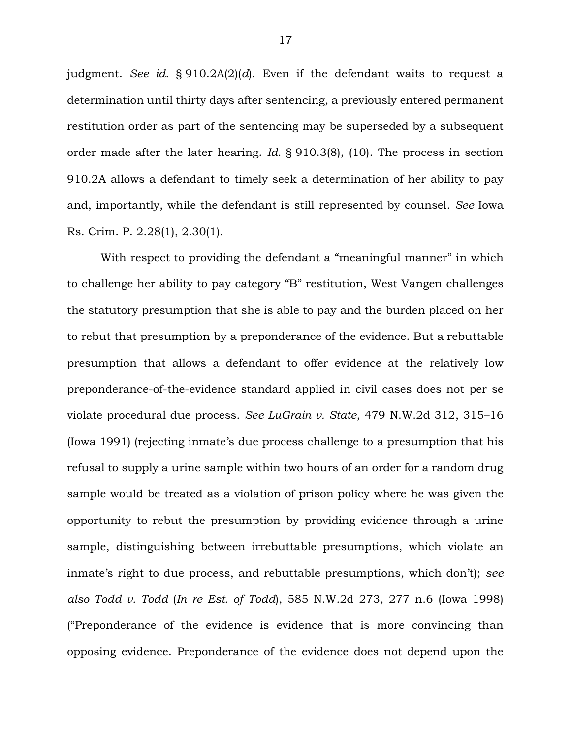judgment. *See id.* § 910.2A(2)(*d*). Even if the defendant waits to request a determination until thirty days after sentencing, a previously entered permanent restitution order as part of the sentencing may be superseded by a subsequent order made after the later hearing. *Id.* § 910.3(8), (10). The process in section 910.2A allows a defendant to timely seek a determination of her ability to pay and, importantly, while the defendant is still represented by counsel. *See* Iowa Rs. Crim. P. 2.28(1), 2.30(1).

With respect to providing the defendant a "meaningful manner" in which to challenge her ability to pay category "B" restitution, West Vangen challenges the statutory presumption that she is able to pay and the burden placed on her to rebut that presumption by a preponderance of the evidence. But a rebuttable presumption that allows a defendant to offer evidence at the relatively low preponderance-of-the-evidence standard applied in civil cases does not per se violate procedural due process. *See LuGrain v. State*, 479 N.W.2d 312, 315–16 (Iowa 1991) (rejecting inmate's due process challenge to a presumption that his refusal to supply a urine sample within two hours of an order for a random drug sample would be treated as a violation of prison policy where he was given the opportunity to rebut the presumption by providing evidence through a urine sample, distinguishing between irrebuttable presumptions, which violate an inmate's right to due process, and rebuttable presumptions, which don't); *see also Todd v. Todd* (*In re Est. of Todd*), 585 N.W.2d 273, 277 n.6 (Iowa 1998) ("Preponderance of the evidence is evidence that is more convincing than opposing evidence. Preponderance of the evidence does not depend upon the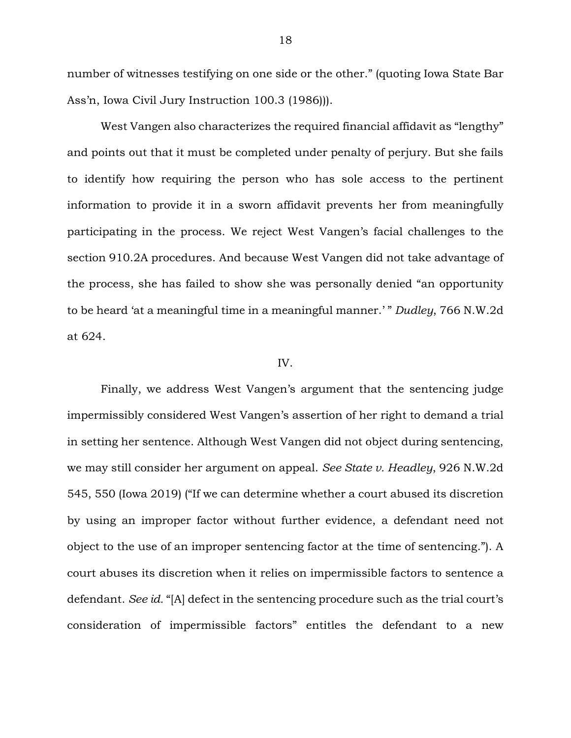number of witnesses testifying on one side or the other." (quoting Iowa State Bar Ass'n, Iowa Civil Jury Instruction 100.3 (1986))).

West Vangen also characterizes the required financial affidavit as "lengthy" and points out that it must be completed under penalty of perjury. But she fails to identify how requiring the person who has sole access to the pertinent information to provide it in a sworn affidavit prevents her from meaningfully participating in the process. We reject West Vangen's facial challenges to the section 910.2A procedures. And because West Vangen did not take advantage of the process, she has failed to show she was personally denied "an opportunity to be heard 'at a meaningful time in a meaningful manner.' " *Dudley*, 766 N.W.2d at 624.

### IV.

Finally, we address West Vangen's argument that the sentencing judge impermissibly considered West Vangen's assertion of her right to demand a trial in setting her sentence. Although West Vangen did not object during sentencing, we may still consider her argument on appeal. *See State v. Headley*, 926 N.W.2d 545, 550 (Iowa 2019) ("If we can determine whether a court abused its discretion by using an improper factor without further evidence, a defendant need not object to the use of an improper sentencing factor at the time of sentencing."). A court abuses its discretion when it relies on impermissible factors to sentence a defendant. *See id.* "[A] defect in the sentencing procedure such as the trial court's consideration of impermissible factors" entitles the defendant to a new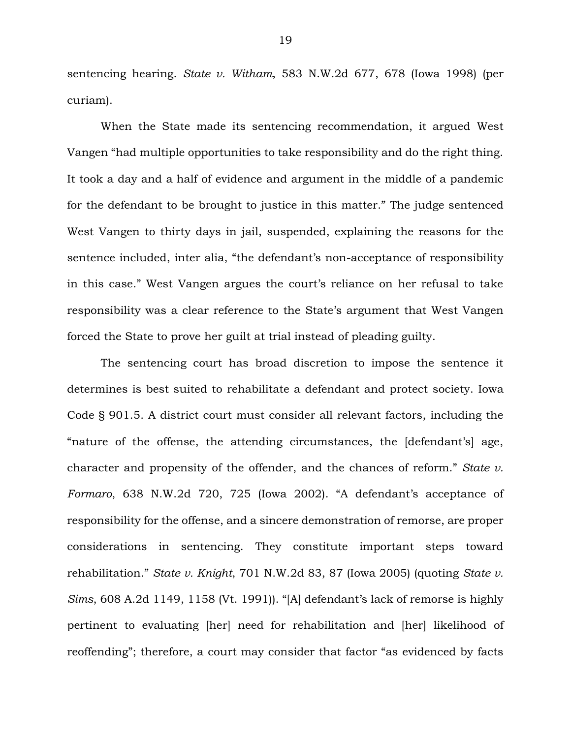sentencing hearing. *State v. Witham*, 583 N.W.2d 677, 678 (Iowa 1998) (per curiam).

When the State made its sentencing recommendation, it argued West Vangen "had multiple opportunities to take responsibility and do the right thing. It took a day and a half of evidence and argument in the middle of a pandemic for the defendant to be brought to justice in this matter." The judge sentenced West Vangen to thirty days in jail, suspended, explaining the reasons for the sentence included, inter alia, "the defendant's non-acceptance of responsibility in this case." West Vangen argues the court's reliance on her refusal to take responsibility was a clear reference to the State's argument that West Vangen forced the State to prove her guilt at trial instead of pleading guilty.

The sentencing court has broad discretion to impose the sentence it determines is best suited to rehabilitate a defendant and protect society. Iowa Code § 901.5. A district court must consider all relevant factors, including the "nature of the offense, the attending circumstances, the [defendant's] age, character and propensity of the offender, and the chances of reform." *State v. Formaro*, 638 N.W.2d 720, 725 (Iowa 2002). "A defendant's acceptance of responsibility for the offense, and a sincere demonstration of remorse, are proper considerations in sentencing. They constitute important steps toward rehabilitation." *State v. Knight*, 701 N.W.2d 83, 87 (Iowa 2005) (quoting *State v. Sims*, 608 A.2d 1149, 1158 (Vt. 1991)). "[A] defendant's lack of remorse is highly pertinent to evaluating [her] need for rehabilitation and [her] likelihood of reoffending"; therefore, a court may consider that factor "as evidenced by facts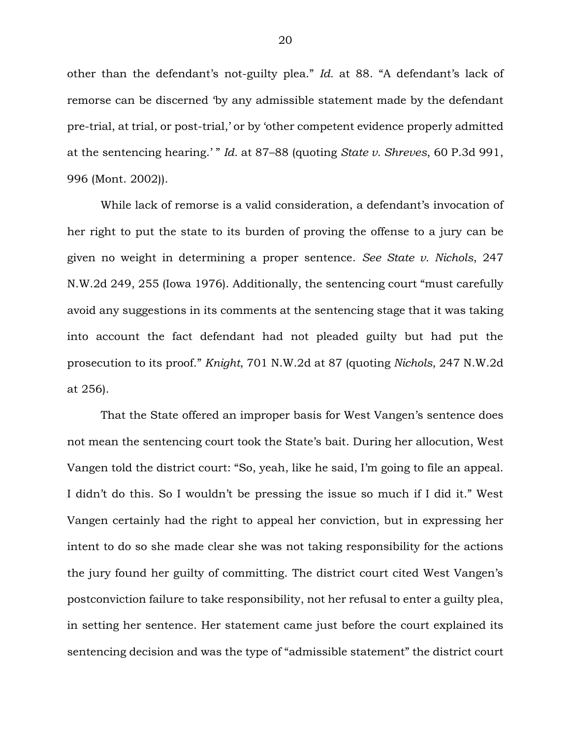other than the defendant's not-guilty plea." *Id.* at 88. "A defendant's lack of remorse can be discerned 'by any admissible statement made by the defendant pre-trial, at trial, or post-trial,' or by 'other competent evidence properly admitted at the sentencing hearing.' " *Id.* at 87–88 (quoting *State v. Shreves*, 60 P.3d 991, 996 (Mont. 2002)).

While lack of remorse is a valid consideration, a defendant's invocation of her right to put the state to its burden of proving the offense to a jury can be given no weight in determining a proper sentence. *See State v. Nichols*, 247 N.W.2d 249, 255 (Iowa 1976). Additionally, the sentencing court "must carefully avoid any suggestions in its comments at the sentencing stage that it was taking into account the fact defendant had not pleaded guilty but had put the prosecution to its proof." *Knight*, 701 N.W.2d at 87 (quoting *Nichols*, 247 N.W.2d at 256).

That the State offered an improper basis for West Vangen's sentence does not mean the sentencing court took the State's bait. During her allocution, West Vangen told the district court: "So, yeah, like he said, I'm going to file an appeal. I didn't do this. So I wouldn't be pressing the issue so much if I did it." West Vangen certainly had the right to appeal her conviction, but in expressing her intent to do so she made clear she was not taking responsibility for the actions the jury found her guilty of committing. The district court cited West Vangen's postconviction failure to take responsibility, not her refusal to enter a guilty plea, in setting her sentence. Her statement came just before the court explained its sentencing decision and was the type of "admissible statement" the district court